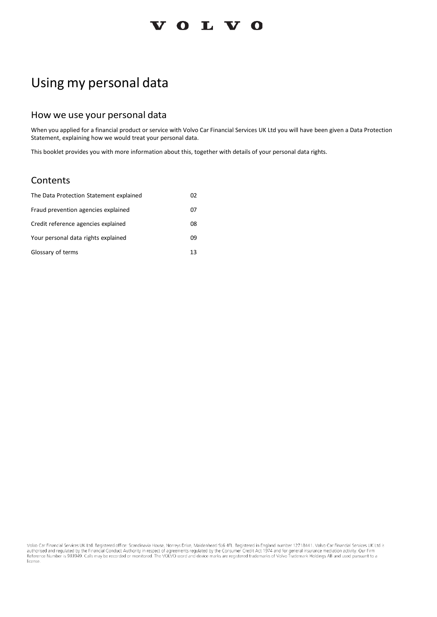# **VOLVO**

# Using my personal data

# How we use your personal data

When you applied for a financial product or service with Volvo Car Financial Services UK Ltd you will have been given a Data Protection Statement, explaining how we would treat your personal data.

This booklet provides you with more information about this, together with details of your personal data rights.

# Contents

| The Data Protection Statement explained | 02 |
|-----------------------------------------|----|
| Fraud prevention agencies explained     | 07 |
| Credit reference agencies explained     | 08 |
| Your personal data rights explained     | 09 |
| Glossary of terms                       | 13 |

Volvo Car Financial Services UK Ltd. Registered office: Scandinavia House, Norreys Drive, Maidenhead SL6 4FL. Registered in England number 12718441. Volvo Car Financial Services UK Ltd is authorised and regulated by the Financial Conduct Authority in respect of agreements regulated by the Consumer Credit Act 1974 and for general insurance mediation activity. Our Firm<br>Reference Number is 933949. Calls may be license.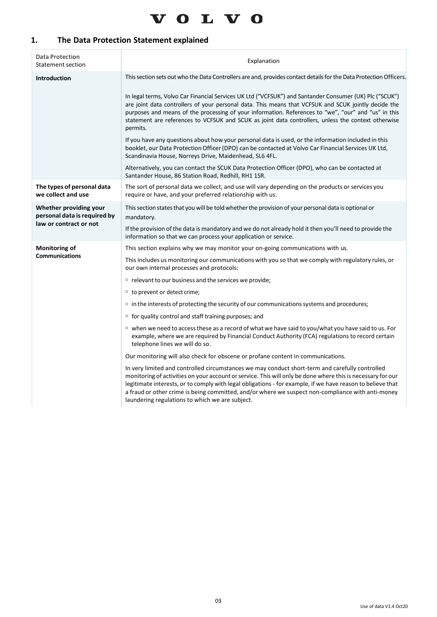

# **1. The Data Protection Statement explained**

| Data Protection<br>Statement section                                             | Explanation                                                                                                                                                                                                                                                                                                                                                                                                                                                                          |
|----------------------------------------------------------------------------------|--------------------------------------------------------------------------------------------------------------------------------------------------------------------------------------------------------------------------------------------------------------------------------------------------------------------------------------------------------------------------------------------------------------------------------------------------------------------------------------|
| <b>Introduction</b>                                                              | This section sets out who the Data Controllers are and, provides contact details for the Data Protection Officers.                                                                                                                                                                                                                                                                                                                                                                   |
|                                                                                  | In legal terms, Volvo Car Financial Services UK Ltd ("VCFSUK") and Santander Consumer (UK) Plc ("SCUK")<br>are joint data controllers of your personal data. This means that VCFSUK and SCUK jointly decide the<br>purposes and means of the processing of your information. References to "we", "our" and "us" in this<br>statement are references to VCFSUK and SCUK as joint data controllers, unless the context otherwise<br>permits.                                           |
|                                                                                  | If you have any questions about how your personal data is used, or the information included in this<br>booklet, our Data Protection Officer (DPO) can be contacted at Volvo Car Financial Services UK Ltd,<br>Scandinavia House, Norreys Drive, Maidenhead, SL6 4FL.                                                                                                                                                                                                                 |
|                                                                                  | Alternatively, you can contact the SCUK Data Protection Officer (DPO), who can be contacted at<br>Santander House, 86 Station Road, Redhill, RH1 1SR.                                                                                                                                                                                                                                                                                                                                |
| The types of personal data<br>we collect and use                                 | The sort of personal data we collect, and use will vary depending on the products or services you<br>require or have, and your preferred relationship with us.                                                                                                                                                                                                                                                                                                                       |
| Whether providing your<br>personal data is required by<br>law or contract or not | This section states that you will be told whether the provision of your personal data is optional or<br>mandatory.                                                                                                                                                                                                                                                                                                                                                                   |
|                                                                                  | If the provision of the data is mandatory and we do not already hold it then you'll need to provide the<br>information so that we can process your application or service.                                                                                                                                                                                                                                                                                                           |
| <b>Monitoring of</b>                                                             | This section explains why we may monitor your on-going communications with us.                                                                                                                                                                                                                                                                                                                                                                                                       |
| <b>Communications</b>                                                            | This includes us monitoring our communications with you so that we comply with regulatory rules, or<br>our own internal processes and protocols:                                                                                                                                                                                                                                                                                                                                     |
|                                                                                  | $\circ$ relevant to our business and the services we provide;                                                                                                                                                                                                                                                                                                                                                                                                                        |
|                                                                                  | ○ to prevent or detect crime;                                                                                                                                                                                                                                                                                                                                                                                                                                                        |
|                                                                                  | $\circ$ in the interests of protecting the security of our communications systems and procedures;                                                                                                                                                                                                                                                                                                                                                                                    |
|                                                                                  | <sup>o</sup> for quality control and staff training purposes; and                                                                                                                                                                                                                                                                                                                                                                                                                    |
|                                                                                  | ○ when we need to access these as a record of what we have said to you/what you have said to us. For<br>example, where we are required by Financial Conduct Authority (FCA) regulations to record certain<br>telephone lines we will do so.                                                                                                                                                                                                                                          |
|                                                                                  | Our monitoring will also check for obscene or profane content in communications.                                                                                                                                                                                                                                                                                                                                                                                                     |
|                                                                                  | In very limited and controlled circumstances we may conduct short-term and carefully controlled<br>monitoring of activities on your account or service. This will only be done where this is necessary for our<br>legitimate interests, or to comply with legal obligations - for example, if we have reason to believe that<br>a fraud or other crime is being committed, and/or where we suspect non-compliance with anti-money<br>laundering regulations to which we are subject. |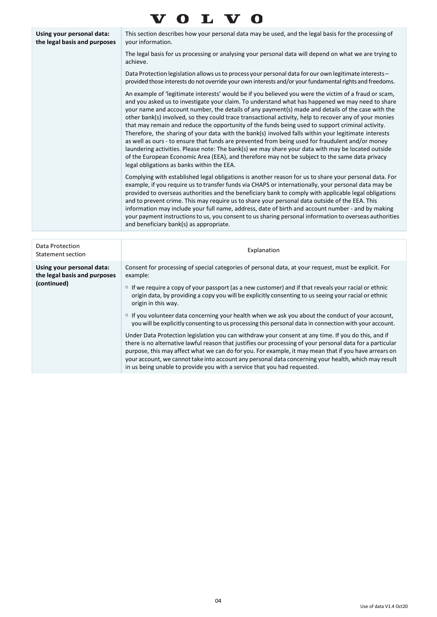| 0 L V 0                                                                                                                                                                                                                                                                                                                                                                                                                                                                                                                                                                                                                                                                                                                                                                                                                                                                                                                                                                                        |
|------------------------------------------------------------------------------------------------------------------------------------------------------------------------------------------------------------------------------------------------------------------------------------------------------------------------------------------------------------------------------------------------------------------------------------------------------------------------------------------------------------------------------------------------------------------------------------------------------------------------------------------------------------------------------------------------------------------------------------------------------------------------------------------------------------------------------------------------------------------------------------------------------------------------------------------------------------------------------------------------|
| This section describes how your personal data may be used, and the legal basis for the processing of<br>your information.                                                                                                                                                                                                                                                                                                                                                                                                                                                                                                                                                                                                                                                                                                                                                                                                                                                                      |
| The legal basis for us processing or analysing your personal data will depend on what we are trying to<br>achieve.                                                                                                                                                                                                                                                                                                                                                                                                                                                                                                                                                                                                                                                                                                                                                                                                                                                                             |
| Data Protection legislation allows us to process your personal data for our own legitimate interests -<br>provided those interests do not override your own interests and/or your fundamental rights and freedoms.                                                                                                                                                                                                                                                                                                                                                                                                                                                                                                                                                                                                                                                                                                                                                                             |
| An example of 'legitimate interests' would be if you believed you were the victim of a fraud or scam,<br>and you asked us to investigate your claim. To understand what has happened we may need to share<br>your name and account number, the details of any payment(s) made and details of the case with the<br>other bank(s) involved, so they could trace transactional activity, help to recover any of your monies<br>that may remain and reduce the opportunity of the funds being used to support criminal activity.<br>Therefore, the sharing of your data with the bank(s) involved falls within your legitimate interests<br>as well as ours - to ensure that funds are prevented from being used for fraudulent and/or money<br>laundering activities. Please note: The bank(s) we may share your data with may be located outside<br>of the European Economic Area (EEA), and therefore may not be subject to the same data privacy<br>legal obligations as banks within the EEA. |
| Complying with established legal obligations is another reason for us to share your personal data. For<br>example, if you require us to transfer funds via CHAPS or internationally, your personal data may be<br>provided to overseas authorities and the beneficiary bank to comply with applicable legal obligations<br>and to prevent crime. This may require us to share your personal data outside of the EEA. This<br>information may include your full name, address, date of birth and account number - and by making<br>your payment instructions to us, you consent to us sharing personal information to overseas authorities<br>and beneficiary bank(s) as appropriate.                                                                                                                                                                                                                                                                                                           |
|                                                                                                                                                                                                                                                                                                                                                                                                                                                                                                                                                                                                                                                                                                                                                                                                                                                                                                                                                                                                |
| Explanation                                                                                                                                                                                                                                                                                                                                                                                                                                                                                                                                                                                                                                                                                                                                                                                                                                                                                                                                                                                    |
| Consent for processing of special categories of personal data, at your request, must be explicit. For<br>example:                                                                                                                                                                                                                                                                                                                                                                                                                                                                                                                                                                                                                                                                                                                                                                                                                                                                              |
| ○ If we require a copy of your passport (as a new customer) and if that reveals your racial or ethnic<br>origin data, by providing a copy you will be explicitly consenting to us seeing your racial or ethnic<br>origin in this way.                                                                                                                                                                                                                                                                                                                                                                                                                                                                                                                                                                                                                                                                                                                                                          |
| $\circ$ If you volunteer data concerning your health when we ask you about the conduct of your account,<br>you will be explicitly consenting to us processing this personal data in connection with your account.                                                                                                                                                                                                                                                                                                                                                                                                                                                                                                                                                                                                                                                                                                                                                                              |
| Under Data Protection legislation you can withdraw your consent at any time. If you do this, and if<br>there is no alternative lawful reason that justifies our processing of your personal data for a particular<br>purpose, this may affect what we can do for you. For example, it may mean that if you have arrears on<br>your account, we cannot take into account any personal data concerning your health, which may result<br>in us being unable to provide you with a service that you had requested.                                                                                                                                                                                                                                                                                                                                                                                                                                                                                 |
|                                                                                                                                                                                                                                                                                                                                                                                                                                                                                                                                                                                                                                                                                                                                                                                                                                                                                                                                                                                                |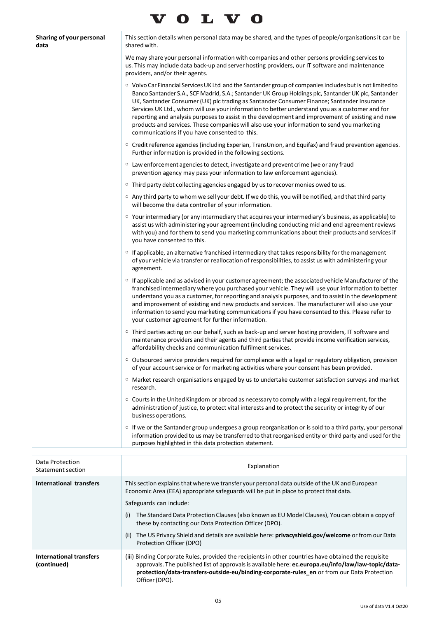|                                               | V O L V O                                                                                                                                                                                                                                                                                                                                                                                                                                                                                                                                                                                                                                                              |
|-----------------------------------------------|------------------------------------------------------------------------------------------------------------------------------------------------------------------------------------------------------------------------------------------------------------------------------------------------------------------------------------------------------------------------------------------------------------------------------------------------------------------------------------------------------------------------------------------------------------------------------------------------------------------------------------------------------------------------|
| Sharing of your personal<br>data              | This section details when personal data may be shared, and the types of people/organisations it can be<br>shared with.                                                                                                                                                                                                                                                                                                                                                                                                                                                                                                                                                 |
|                                               | We may share your personal information with companies and other persons providing services to<br>us. This may include data back-up and server hosting providers, our IT software and maintenance<br>providers, and/or their agents.                                                                                                                                                                                                                                                                                                                                                                                                                                    |
|                                               | ○ Volvo Car Financial Services UK Ltd and the Santander group of companies includes but is not limited to<br>Banco Santander S.A., SCF Madrid, S.A.; Santander UK Group Holdings plc, Santander UK plc, Santander<br>UK, Santander Consumer (UK) plc trading as Santander Consumer Finance; Santander Insurance<br>Services UK Ltd., whom will use your information to better understand you as a customer and for<br>reporting and analysis purposes to assist in the development and improvement of existing and new<br>products and services. These companies will also use your information to send you marketing<br>communications if you have consented to this. |
|                                               | ○ Credit reference agencies (including Experian, TransUnion, and Equifax) and fraud prevention agencies.<br>Further information is provided in the following sections.                                                                                                                                                                                                                                                                                                                                                                                                                                                                                                 |
|                                               | $\circ$ Law enforcement agencies to detect, investigate and prevent crime (we or any fraud<br>prevention agency may pass your information to law enforcement agencies).                                                                                                                                                                                                                                                                                                                                                                                                                                                                                                |
|                                               | $\circ$ Third party debt collecting agencies engaged by us to recover monies owed to us.                                                                                                                                                                                                                                                                                                                                                                                                                                                                                                                                                                               |
|                                               | $\circ$ Any third party to whom we sell your debt. If we do this, you will be notified, and that third party<br>will become the data controller of your information.                                                                                                                                                                                                                                                                                                                                                                                                                                                                                                   |
|                                               | ○ Your intermediary (or any intermediary that acquires your intermediary's business, as applicable) to<br>assist us with administering your agreement (including conducting mid and end agreement reviews<br>with you) and for them to send you marketing communications about their products and services if<br>you have consented to this.                                                                                                                                                                                                                                                                                                                           |
|                                               | ○ If applicable, an alternative franchised intermediary that takes responsibility for the management<br>of your vehicle via transfer or reallocation of responsibilities, to assist us with administering your<br>agreement.                                                                                                                                                                                                                                                                                                                                                                                                                                           |
|                                               | ○ If applicable and as advised in your customer agreement; the associated vehicle Manufacturer of the<br>franchised intermediary where you purchased your vehicle. They will use your information to better<br>understand you as a customer, for reporting and analysis purposes, and to assist in the development<br>and improvement of existing and new products and services. The manufacturer will also use your<br>information to send you marketing communications if you have consented to this. Please refer to<br>your customer agreement for further information.                                                                                            |
|                                               | ○ Third parties acting on our behalf, such as back-up and server hosting providers, IT software and<br>maintenance providers and their agents and third parties that provide income verification services,<br>affordability checks and communication fulfilment services.                                                                                                                                                                                                                                                                                                                                                                                              |
|                                               | ○ Outsourced service providers required for compliance with a legal or regulatory obligation, provision<br>of your account service or for marketing activities where your consent has been provided.                                                                                                                                                                                                                                                                                                                                                                                                                                                                   |
|                                               | ○ Market research organisations engaged by us to undertake customer satisfaction surveys and market<br>research.                                                                                                                                                                                                                                                                                                                                                                                                                                                                                                                                                       |
|                                               | $\circ$ Courts in the United Kingdom or abroad as necessary to comply with a legal requirement, for the<br>administration of justice, to protect vital interests and to protect the security or integrity of our<br>business operations.                                                                                                                                                                                                                                                                                                                                                                                                                               |
|                                               | ○ If we or the Santander group undergoes a group reorganisation or is sold to a third party, your personal<br>information provided to us may be transferred to that reorganised entity or third party and used for the<br>purposes highlighted in this data protection statement.                                                                                                                                                                                                                                                                                                                                                                                      |
| Data Protection<br>Statement section          | Explanation                                                                                                                                                                                                                                                                                                                                                                                                                                                                                                                                                                                                                                                            |
| International transfers                       | This section explains that where we transfer your personal data outside of the UK and European<br>Economic Area (EEA) appropriate safeguards will be put in place to protect that data.                                                                                                                                                                                                                                                                                                                                                                                                                                                                                |
|                                               | Safeguards can include:                                                                                                                                                                                                                                                                                                                                                                                                                                                                                                                                                                                                                                                |
|                                               | The Standard Data Protection Clauses (also known as EU Model Clauses), You can obtain a copy of<br>(i)<br>these by contacting our Data Protection Officer (DPO).                                                                                                                                                                                                                                                                                                                                                                                                                                                                                                       |
|                                               | (ii) The US Privacy Shield and details are available here: privacyshield.gov/welcome or from our Data<br>Protection Officer (DPO)                                                                                                                                                                                                                                                                                                                                                                                                                                                                                                                                      |
| <b>International transfers</b><br>(continued) | (iii) Binding Corporate Rules, provided the recipients in other countries have obtained the requisite<br>approvals. The published list of approvals is available here: ec.europa.eu/info/law/law-topic/data-<br>protection/data-transfers-outside-eu/binding-corporate-rules_en or from our Data Protection<br>Officer (DPO).                                                                                                                                                                                                                                                                                                                                          |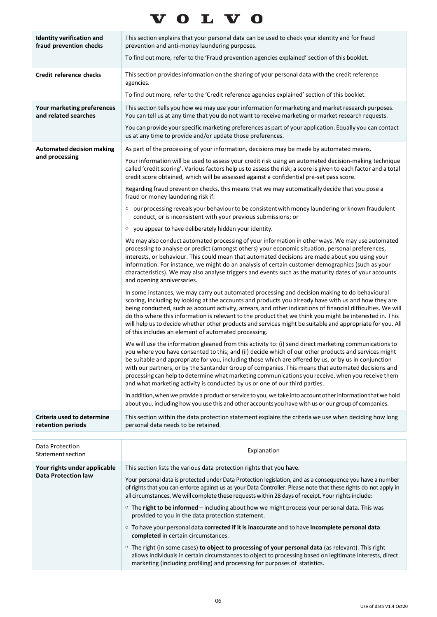|                                                             | $0L$ v $0l$                                                                                                                                                                                                                                                                                                                                                                                                                                                                                                                                                                                                       |
|-------------------------------------------------------------|-------------------------------------------------------------------------------------------------------------------------------------------------------------------------------------------------------------------------------------------------------------------------------------------------------------------------------------------------------------------------------------------------------------------------------------------------------------------------------------------------------------------------------------------------------------------------------------------------------------------|
| <b>Identity verification and</b><br>fraud prevention checks | This section explains that your personal data can be used to check your identity and for fraud<br>prevention and anti-money laundering purposes.<br>To find out more, refer to the 'Fraud prevention agencies explained' section of this booklet.                                                                                                                                                                                                                                                                                                                                                                 |
| Credit reference checks                                     | This section provides information on the sharing of your personal data with the credit reference<br>agencies.                                                                                                                                                                                                                                                                                                                                                                                                                                                                                                     |
|                                                             | To find out more, refer to the 'Credit reference agencies explained' section of this booklet.                                                                                                                                                                                                                                                                                                                                                                                                                                                                                                                     |
| Your marketing preferences<br>and related searches          | This section tells you how we may use your information for marketing and market research purposes.<br>You can tell us at any time that you do not want to receive marketing or market research requests.                                                                                                                                                                                                                                                                                                                                                                                                          |
|                                                             | You can provide your specific marketing preferences as part of your application. Equally you can contact<br>us at any time to provide and/or update those preferences.                                                                                                                                                                                                                                                                                                                                                                                                                                            |
| <b>Automated decision making</b>                            | As part of the processing of your information, decisions may be made by automated means.                                                                                                                                                                                                                                                                                                                                                                                                                                                                                                                          |
| and processing                                              | Your information will be used to assess your credit risk using an automated decision-making technique<br>called 'credit scoring'. Various factors help us to assess the risk; a score is given to each factor and a total<br>credit score obtained, which will be assessed against a confidential pre-set pass score.                                                                                                                                                                                                                                                                                             |
|                                                             | Regarding fraud prevention checks, this means that we may automatically decide that you pose a<br>fraud or money laundering risk if:                                                                                                                                                                                                                                                                                                                                                                                                                                                                              |
|                                                             | $\circ$ our processing reveals your behaviour to be consistent with money laundering or known fraudulent<br>conduct, or is inconsistent with your previous submissions; or                                                                                                                                                                                                                                                                                                                                                                                                                                        |
|                                                             | you appear to have deliberately hidden your identity.<br>$\circ$                                                                                                                                                                                                                                                                                                                                                                                                                                                                                                                                                  |
|                                                             | We may also conduct automated processing of your information in other ways. We may use automated<br>processing to analyse or predict (amongst others) your economic situation, personal preferences,<br>interests, or behaviour. This could mean that automated decisions are made about you using your<br>information. For instance, we might do an analysis of certain customer demographics (such as your<br>characteristics). We may also analyse triggers and events such as the maturity dates of your accounts<br>and opening anniversaries.                                                               |
|                                                             | In some instances, we may carry out automated processing and decision making to do behavioural<br>scoring, including by looking at the accounts and products you already have with us and how they are<br>being conducted, such as account activity, arrears, and other indications of financial difficulties. We will<br>do this where this information is relevant to the product that we think you might be interested in. This<br>will help us to decide whether other products and services might be suitable and appropriate for you. All<br>of this includes an element of automated processing.           |
|                                                             | We will use the information gleaned from this activity to: (i) send direct marketing communications to<br>you where you have consented to this; and (ii) decide which of our other products and services might<br>be suitable and appropriate for you, including those which are offered by us, or by us in conjunction<br>with our partners, or by the Santander Group of companies. This means that automated decisions and<br>processing can help to determine what marketing communications you receive, when you receive them<br>and what marketing activity is conducted by us or one of our third parties. |
|                                                             | In addition, when we provide a product or service to you, we take into account other information that we hold<br>about you, including how you use this and other accounts you have with us or our group of companies.                                                                                                                                                                                                                                                                                                                                                                                             |
| Criteria used to determine<br>retention periods             | This section within the data protection statement explains the criteria we use when deciding how long<br>personal data needs to be retained.                                                                                                                                                                                                                                                                                                                                                                                                                                                                      |
|                                                             |                                                                                                                                                                                                                                                                                                                                                                                                                                                                                                                                                                                                                   |
| Data Protection<br><b>Statement section</b>                 | Explanation                                                                                                                                                                                                                                                                                                                                                                                                                                                                                                                                                                                                       |
| Your rights under applicable<br><b>Data Protection law</b>  | This section lists the various data protection rights that you have.                                                                                                                                                                                                                                                                                                                                                                                                                                                                                                                                              |
|                                                             | Your personal data is protected under Data Protection legislation, and as a consequence you have a number<br>of rights that you can enforce against us as your Data Controller. Please note that these rights do not apply in<br>all circumstances. We will complete these requests within 28 days of receipt. Your rights include:                                                                                                                                                                                                                                                                               |
|                                                             | $\circ$ The right to be informed – including about how we might process your personal data. This was<br>provided to you in the data protection statement.                                                                                                                                                                                                                                                                                                                                                                                                                                                         |
|                                                             | ○ To have your personal data corrected if it is inaccurate and to have incomplete personal data<br>completed in certain circumstances.                                                                                                                                                                                                                                                                                                                                                                                                                                                                            |
|                                                             | ○ The right (in some cases) to object to processing of your personal data (as relevant). This right<br>allows individuals in certain circumstances to object to processing based on legitimate interests, direct                                                                                                                                                                                                                                                                                                                                                                                                  |

marketing (including profiling) and processing for purposes of statistics.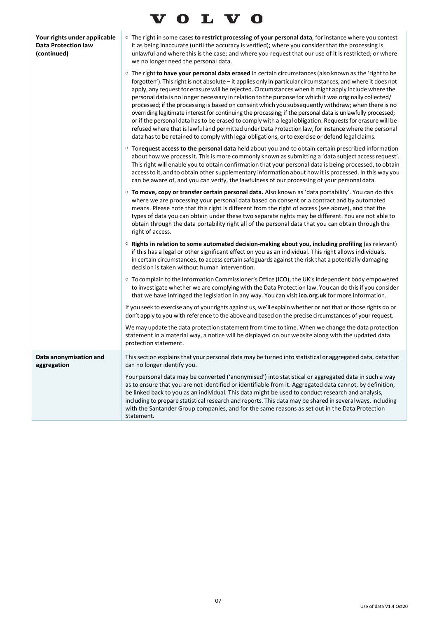|                                                                           | 0 L V 0                                                                                                                                                                                                                                                                                                                                                                                                                                                                                                                                                                                                                                                                                                                                                                                                                                                                                                                                                                                |
|---------------------------------------------------------------------------|----------------------------------------------------------------------------------------------------------------------------------------------------------------------------------------------------------------------------------------------------------------------------------------------------------------------------------------------------------------------------------------------------------------------------------------------------------------------------------------------------------------------------------------------------------------------------------------------------------------------------------------------------------------------------------------------------------------------------------------------------------------------------------------------------------------------------------------------------------------------------------------------------------------------------------------------------------------------------------------|
| Your rights under applicable<br><b>Data Protection law</b><br>(continued) | $\circ$ The right in some cases to restrict processing of your personal data, for instance where you contest<br>it as being inaccurate (until the accuracy is verified); where you consider that the processing is<br>unlawful and where this is the case; and where you request that our use of it is restricted; or where<br>we no longer need the personal data.                                                                                                                                                                                                                                                                                                                                                                                                                                                                                                                                                                                                                    |
|                                                                           | ○ The right to have your personal data erased in certain circumstances (also known as the 'right to be<br>forgotten'). This right is not absolute - it applies only in particular circumstances, and where it does not<br>apply, any request for erasure will be rejected. Circumstances when it might apply include where the<br>personal data is no longer necessary in relation to the purpose for which it was originally collected/<br>processed; if the processing is based on consent which you subsequently withdraw; when there is no<br>overriding legitimate interest for continuing the processing; if the personal data is unlawfully processed;<br>or if the personal data has to be erased to comply with a legal obligation. Requests for erasure will be<br>refused where that is lawful and permitted under Data Protection law, for instance where the personal<br>data has to be retained to comply with legal obligations, or to exercise or defend legal claims. |
|                                                                           | ○ To request access to the personal data held about you and to obtain certain prescribed information<br>about how we process it. This is more commonly known as submitting a 'data subject access request'.<br>This right will enable you to obtain confirmation that your personal data is being processed, to obtain<br>access to it, and to obtain other supplementary information about how it is processed. In this way you<br>can be aware of, and you can verify, the lawfulness of our processing of your personal data.                                                                                                                                                                                                                                                                                                                                                                                                                                                       |
|                                                                           | ○ To move, copy or transfer certain personal data. Also known as 'data portability'. You can do this<br>where we are processing your personal data based on consent or a contract and by automated<br>means. Please note that this right is different from the right of access (see above), and that the<br>types of data you can obtain under these two separate rights may be different. You are not able to<br>obtain through the data portability right all of the personal data that you can obtain through the<br>right of access.                                                                                                                                                                                                                                                                                                                                                                                                                                               |
|                                                                           | $\circ$ Rights in relation to some automated decision-making about you, including profiling (as relevant)<br>if this has a legal or other significant effect on you as an individual. This right allows individuals,<br>in certain circumstances, to access certain safeguards against the risk that a potentially damaging<br>decision is taken without human intervention.                                                                                                                                                                                                                                                                                                                                                                                                                                                                                                                                                                                                           |
|                                                                           | ○ To complain to the Information Commissioner's Office (ICO), the UK's independent body empowered<br>to investigate whether we are complying with the Data Protection law. You can do this if you consider<br>that we have infringed the legislation in any way. You can visit ico.org.uk for more information.                                                                                                                                                                                                                                                                                                                                                                                                                                                                                                                                                                                                                                                                        |
|                                                                           | If you seek to exercise any of your rights against us, we'll explain whether or not that or those rights do or<br>don't apply to you with reference to the above and based on the precise circumstances of your request.                                                                                                                                                                                                                                                                                                                                                                                                                                                                                                                                                                                                                                                                                                                                                               |
|                                                                           | We may update the data protection statement from time to time. When we change the data protection<br>statement in a material way, a notice will be displayed on our website along with the updated data<br>protection statement.                                                                                                                                                                                                                                                                                                                                                                                                                                                                                                                                                                                                                                                                                                                                                       |
| Data anonymisation and<br>aggregation                                     | This section explains that your personal data may be turned into statistical or aggregated data, data that<br>can no longer identify you.                                                                                                                                                                                                                                                                                                                                                                                                                                                                                                                                                                                                                                                                                                                                                                                                                                              |
|                                                                           | Your personal data may be converted ('anonymised') into statistical or aggregated data in such a way<br>as to ensure that you are not identified or identifiable from it. Aggregated data cannot, by definition,<br>be linked back to you as an individual. This data might be used to conduct research and analysis,<br>including to prepare statistical research and reports. This data may be shared in several ways, including<br>with the Santander Group companies, and for the same reasons as set out in the Data Protection<br>Statement.                                                                                                                                                                                                                                                                                                                                                                                                                                     |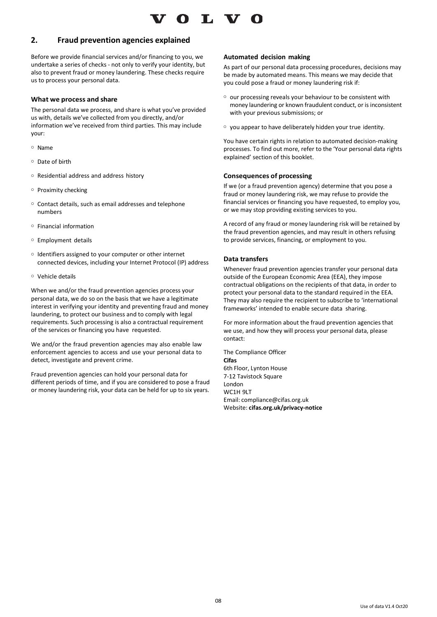

# **2. Fraud prevention agencies explained**

Before we provide financial services and/or financing to you, we undertake a series of checks - not only to verify your identity, but also to prevent fraud or money laundering. These checks require us to process your personal data.

# **What we process and share**

The personal data we process, and share is what you've provided us with, details we've collected from you directly, and/or information we've received from third parties. This may include your:

- Name
- Date of birth
- Residential address and address history
- $\circ$  Proximity checking
- $\circ$  Contact details, such as email addresses and telephone numbers
- Financial information
- Employment details
- $\circ$  Identifiers assigned to your computer or other internet connected devices, including your Internet Protocol (IP) address
- Vehicle details

When we and/or the fraud prevention agencies process your personal data, we do so on the basis that we have a legitimate interest in verifying your identity and preventing fraud and money laundering, to protect our business and to comply with legal requirements. Such processing is also a contractual requirement of the services or financing you have requested.

We and/or the fraud prevention agencies may also enable law enforcement agencies to access and use your personal data to detect, investigate and prevent crime.

Fraud prevention agencies can hold your personal data for different periods of time, and if you are considered to pose a fraud or money laundering risk, your data can be held for up to six years.

# **Automated decision making**

As part of our personal data processing procedures, decisions may be made by automated means. This means we may decide that you could pose a fraud or money laundering risk if:

- $\circ$  our processing reveals your behaviour to be consistent with money laundering or known fraudulent conduct, or is inconsistent with your previous submissions; or
- you appear to have deliberately hidden your true identity.

You have certain rights in relation to automated decision-making processes. To find out more, refer to the 'Your personal data rights explained' section of this booklet.

# **Consequences of processing**

If we (or a fraud prevention agency) determine that you pose a fraud or money laundering risk, we may refuse to provide the financial services or financing you have requested, to employ you, or we may stop providing existing services to you.

A record of any fraud or money laundering risk will be retained by the fraud prevention agencies, and may result in others refusing to provide services, financing, or employment to you.

# **Data transfers**

Whenever fraud prevention agencies transfer your personal data outside of the European Economic Area (EEA), they impose contractual obligations on the recipients of that data, in order to protect your personal data to the standard required in the EEA. They may also require the recipient to subscribe to 'international frameworks' intended to enable secure data sharing.

For more information about the fraud prevention agencies that we use, and how they will process your personal data, please contact:

The Compliance Officer **Cifas** 6th Floor, Lynton House 7-12 Tavistock Square London WC1H 9LT Email: [compliance@cifas.org.uk](mailto:compliance@cifas.org.uk) Website: **cifas.org.uk/privacy-notice**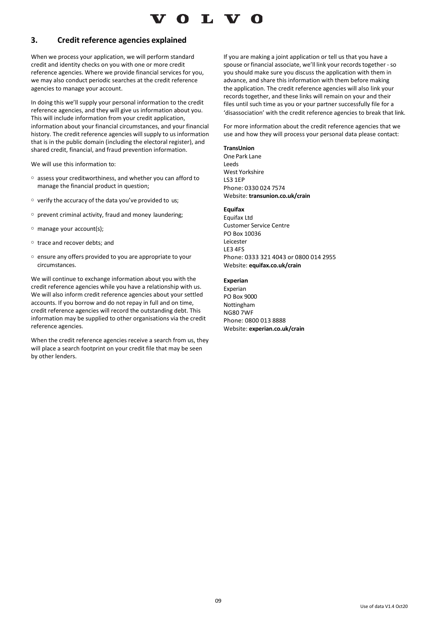

# **3. Credit reference agencies explained**

When we process your application, we will perform standard credit and identity checks on you with one or more credit reference agencies. Where we provide financial services for you, we may also conduct periodic searches at the credit reference agencies to manage your account.

In doing this we'll supply your personal information to the credit reference agencies, and they will give us information about you. This will include information from your credit application, information about your financial circumstances, and your financial history. The credit reference agencies will supply to us information that is in the public domain (including the electoral register), and shared credit, financial, and fraud prevention information.

We will use this information to:

- $\circ$  assess your creditworthiness, and whether you can afford to manage the financial product in question;
- $\circ$  verify the accuracy of the data you've provided to us;
- $\circ$  prevent criminal activity, fraud and money laundering;
- $\circ$  manage your account(s);
- o trace and recover debts; and
- $\circ$  ensure any offers provided to you are appropriate to your circumstances.

We will continue to exchange information about you with the credit reference agencies while you have a relationship with us. We will also inform credit reference agencies about your settled accounts. If you borrow and do not repay in full and on time, credit reference agencies will record the outstanding debt. This information may be supplied to other organisations via the credit reference agencies.

When the credit reference agencies receive a search from us, they will place a search footprint on your credit file that may be seen by other lenders.

If you are making a joint application or tell us that you have a spouse or financial associate, we'll link your records together - so you should make sure you discuss the application with them in advance, and share this information with them before making the application. The credit reference agencies will also link your records together, and these links will remain on your and their files until such time as you or your partner successfully file for a 'disassociation' with the credit reference agencies to break that link.

For more information about the credit reference agencies that we use and how they will process your personal data please contact:

# **TransUnion**

One Park Lane Leeds West Yorkshire LS3 1EP Phone: 0330 024 7574 Website: **transunion.co.uk/crain**

## **Equifax**

Equifax Ltd Customer Service Centre PO Box 10036 Leicester LE3 4FS Phone: 0333 321 4043 or 0800 014 2955 Website: **equifax.co.uk/crain**

#### **Experian**

Experian PO Box 9000 Nottingham NG80 7WF Phone: 0800 013 8888 Website: **experian.co.uk/crain**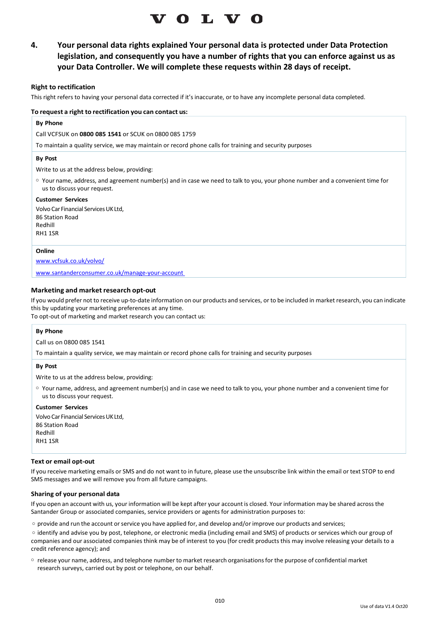# O L V O

**4. Your personal data rights explained Your personal data is protected under Data Protection legislation, and consequently you have a number of rights that you can enforce against us as your Data Controller. We will complete these requests within 28 days of receipt.**

#### **Right to rectification**

This right refers to having your personal data corrected if it's inaccurate, or to have any incomplete personal data completed.

#### **To request a right to rectification you can contact us:**

#### **By Phone**

Call VCFSUK on **0800 085 1541** or SCUK on 0800 085 1759

To maintain a quality service, we may maintain or record phone calls for training and security purposes

#### **By Post**

Write to us at the address below, providing:

 Your name, address, and agreement number(s) and in case we need to talk to you, your phone number and a convenient time for us to discuss your request.

#### **Customer Services**

Volvo Car Financial Services UK Ltd, 86 Station Road Redhill RH1 1SR

#### **Online**

[www.vcfsuk.co.uk/volvo/](http://www.vcfsuk.co.uk/volvo/)

www.santanderconsumer.co.uk/manage-your-account

#### **Marketing and market research opt-out**

If you would prefer not to receive up-to-date information on our products and services, or to be included in market research, you can indicate this by updating your marketing preferences at any time.

To opt-out of marketing and market research you can contact us:

#### **By Phone**

Call us on 0800 085 1541

To maintain a quality service, we may maintain or record phone calls for training and security purposes

# **By Post**

Write to us at the address below, providing:

 Your name, address, and agreement number(s) and in case we need to talk to you, your phone number and a convenient time for us to discuss your request.

#### **Customer Services**

Volvo Car Financial Services UK Ltd, 86 Station Road Redhill RH1 1SR

#### **Text or email opt-out**

If you receive marketing emails or SMS and do not want to in future, please use the unsubscribe link within the email or text STOP to end SMS messages and we will remove you from all future campaigns.

#### **Sharing of your personal data**

If you open an account with us, your information will be kept after your account is closed. Your information may be shared across the Santander Group or associated companies, service providers or agents for administration purposes to:

provide and run the account orservice you have applied for, and develop and/or improve our products and services;

 identify and advise you by post, telephone, or electronic media (including email and SMS) of products or services which our group of companies and our associated companies think may be of interest to you (for credit products this may involve releasing your details to a credit reference agency); and

 $\circ$  release your name, address, and telephone number to market research organisations for the purpose of confidential market research surveys, carried out by post or telephone, on our behalf.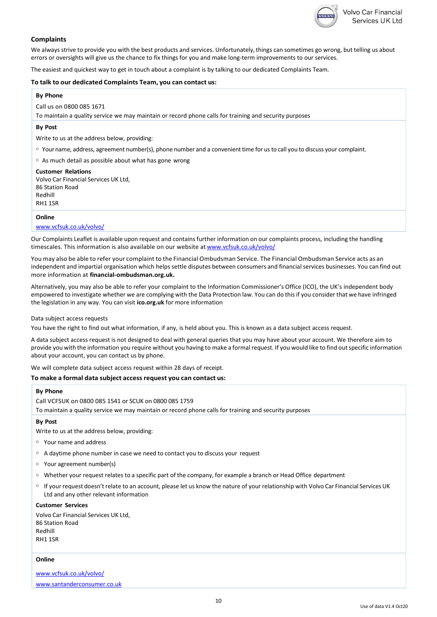

# **Complaints**

We always strive to provide you with the best products and services. Unfortunately, things can sometimes go wrong, but telling us about errors or oversights will give us the chance to fix things for you and make long-term improvements to our services.

The easiest and quickest way to get in touch about a complaint is by talking to our dedicated Complaints Team.

#### **To talk to our dedicated Complaints Team, you can contact us:**

#### **By Phone**

Call us on 0800 085 1671

To maintain a quality service we may maintain or record phone calls for training and security purposes

## **By Post**

Write to us at the address below, providing:

 $\circ$  Your name, address, agreement number(s), phone number and a convenient time for us to call you to discuss your complaint.

 $\circ$  As much detail as possible about what has gone wrong

**Customer Relations** Volvo Car Financial Services UK Ltd, 86 Station Road Redhill RH1 1SR

#### **Online**

[www.vcfsuk.co.uk/volvo/](http://www.vcfsuk.co.uk/volvo/)

Our Complaints Leaflet is available upon request and contains further information on our complaints process, including the handling timescales. This information is also available on our website at [www.vcfsuk.co.uk/volvo/](http://www.vcfsuk.co.uk/volvo/)

You may also be able to refer your complaint to the Financial Ombudsman Service. The Financial Ombudsman Service acts as an independent and impartial organisation which helps settle disputes between consumers and financial services businesses. You can find out more information at **financial-ombudsman.org.uk.**

Alternatively, you may also be able to refer your complaint to the Information Commissioner's Office (ICO), the UK's independent body empowered to investigate whether we are complying with the Data Protection law. You can do this if you consider that we have infringed the legislation in any way. You can visit **ico.org.uk** for more information

Data subject access requests

[www.santanderconsumer.co.uk](http://www.santanderconsumer.co.uk/)

You have the right to find out what information, if any, is held about you. This is known as a data subject access request.

A data subject access request is not designed to deal with general queries that you may have about your account. We therefore aim to provide you with the information you require without you having to make a formal request. If you would like to find outspecific information about your account, you can contact us by phone.

We will complete data subject access request within 28 days of receipt.

# **To make a formal data subject access request you can contact us:**

| <b>By Phone</b>                                                                                                                                                                   |
|-----------------------------------------------------------------------------------------------------------------------------------------------------------------------------------|
| Call VCFSUK on 0800 085 1541 or SCUK on 0800 085 1759                                                                                                                             |
| To maintain a quality service we may maintain or record phone calls for training and security purposes                                                                            |
| <b>By Post</b>                                                                                                                                                                    |
| Write to us at the address below, providing:                                                                                                                                      |
| $\circ$ Your name and address                                                                                                                                                     |
| A daytime phone number in case we need to contact you to discuss your request<br>$\circ$                                                                                          |
| Your agreement number(s)<br>$\circ$                                                                                                                                               |
| Whether your request relates to a specific part of the company, for example a branch or Head Office department<br>$\circ$                                                         |
| ○ If your request doesn't relate to an account, please let us know the nature of your relationship with Volvo Car Financial Services UK<br>Ltd and any other relevant information |
| <b>Customer Services</b>                                                                                                                                                          |
| Volvo Car Financial Services UK Ltd,<br>86 Station Road                                                                                                                           |
| Redhill                                                                                                                                                                           |
| RH11SR                                                                                                                                                                            |
| Online                                                                                                                                                                            |
| www.vcfsuk.co.uk/volvo/                                                                                                                                                           |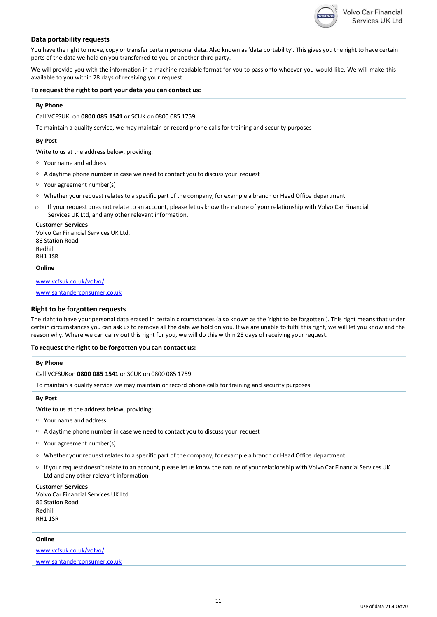

### **Data portability requests**

You have the right to move, copy or transfer certain personal data. Also known as 'data portability'. This gives you the right to have certain parts of the data we hold on you transferred to you or another third party.

We will provide you with the information in a machine-readable format for you to pass onto whoever you would like. We will make this available to you within 28 days of receiving your request.

#### **To request the right to port your data you can contact us:**

#### **By Phone**

Call VCFSUK on **0800 085 1541** or SCUK on 0800 085 1759

To maintain a quality service, we may maintain or record phone calls for training and security purposes

# **By Post**

Write to us at the address below, providing:

- Your name and address
- A daytime phone number in case we need to contact you to discuss your request
- Your agreement number(s)
- Whether your request relates to a specific part of the company, for example a branch or Head Office department
- o If your request does not relate to an account, please let us know the nature of your relationship with Volvo Car Financial Services UK Ltd, and any other relevant information.

#### **Customer Services**

Volvo Car Financial Services UK Ltd, 86 Station Road Redhill RH1 1SR

#### **Online**

[www.vcfsuk.co.uk/volvo/](http://www.vcfsuk.co.uk/volvo/)

[www.santanderconsumer.co.uk](http://www.santanderconsumer.co.uk/)

#### **Right to be forgotten requests**

The right to have your personal data erased in certain circumstances (also known as the 'right to be forgotten'). This right means that under certain circumstances you can ask us to remove all the data we hold on you. If we are unable to fulfil this right, we will let you know and the reason why. Where we can carry out this right for you, we will do this within 28 days of receiving your request.

#### **To request the right to be forgotten you can contact us:**

#### **By Phone**

Call VCFSUKon **0800 085 1541** or SCUK on 0800 085 1759

To maintain a quality service we may maintain or record phone calls for training and security purposes

**By Post**

Write to us at the address below, providing:

- Your name and address
- $\circ$  A daytime phone number in case we need to contact you to discuss your request
- Your agreement number(s)
- Whether your request relates to a specific part of the company, for example a branch or Head Office department
- If your request doesn't relate to an account, please let us know the nature of your relationship with Volvo Car Financial Services UK Ltd and any other relevant information

**Customer Services** Volvo Car Financial Services UK Ltd 86 Station Road Redhill RH1 1SR

# **Online**

[www.vcfsuk.co.uk/volvo/](http://www.vcfsuk.co.uk/volvo/) [www.santanderconsumer.co.uk](http://www.santanderconsumer.co.uk/)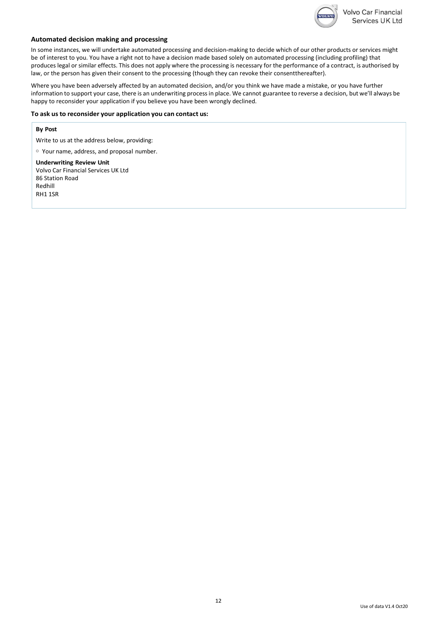

# **Automated decision making and processing**

In some instances, we will undertake automated processing and decision-making to decide which of our other products or services might be of interest to you. You have a right not to have a decision made based solely on automated processing (including profiling) that produces legal or similar effects. This does not apply where the processing is necessary for the performance of a contract, is authorised by law, or the person has given their consent to the processing (though they can revoke their consentthereafter).

Where you have been adversely affected by an automated decision, and/or you think we have made a mistake, or you have further information to support your case, there is an underwriting processin place. We cannot guarantee to reverse a decision, but we'll always be happy to reconsider your application if you believe you have been wrongly declined.

#### **To ask usto reconsider your application you can contact us:**

#### **By Post**

Write to us at the address below, providing:

Your name, address, and proposal number.

**Underwriting Review Unit** Volvo Car Financial Services UK Ltd 86 Station Road Redhill RH1 1SR